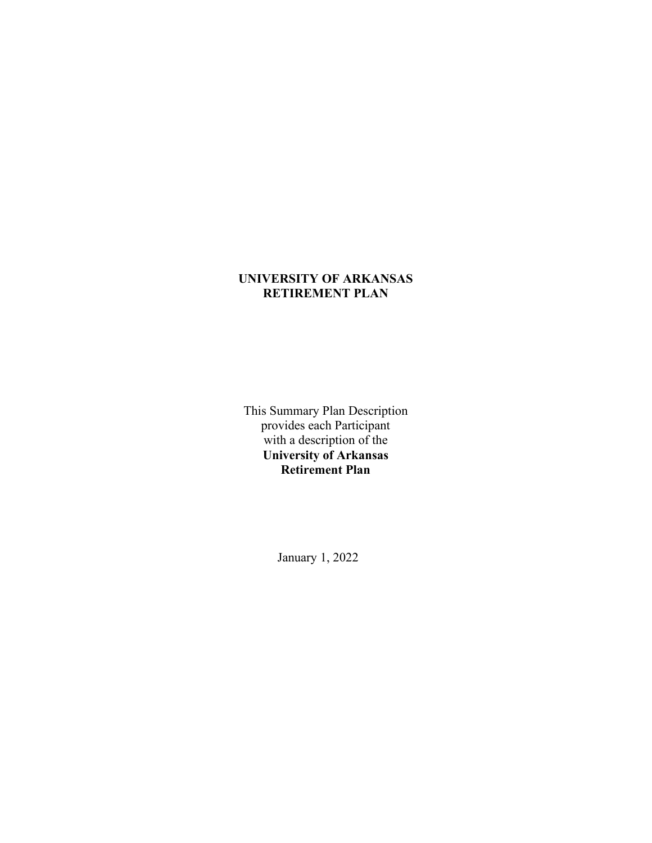# **UNIVERSITY OF ARKANSAS RETIREMENT PLAN**

This Summary Plan Description provides each Participant with a description of the **University of Arkansas Retirement Plan**

January 1, 2022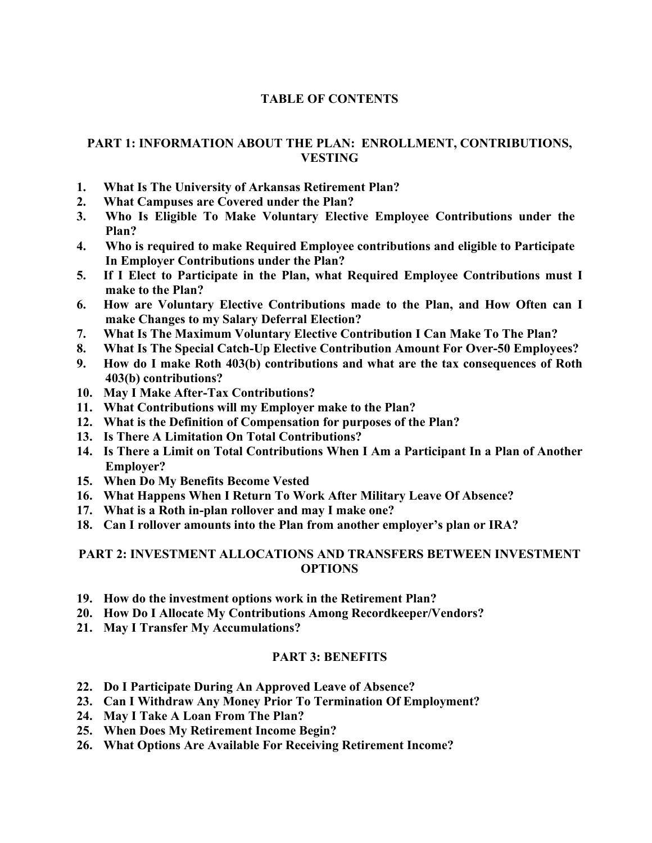# **TABLE OF CONTENTS**

# **PART 1: INFORMATION ABOUT THE PLAN: ENROLLMENT, CONTRIBUTIONS, VESTING**

- **1. What Is The University of Arkansas Retirement Plan?**
- **2. What Campuses are Covered under the Plan?**
- **3. Who Is Eligible To Make Voluntary Elective Employee Contributions under the Plan?**
- **4. Who is required to make Required Employee contributions and eligible to Participate In Employer Contributions under the Plan?**
- **5. If I Elect to Participate in the Plan, what Required Employee Contributions must I make to the Plan?**
- **6. How are Voluntary Elective Contributions made to the Plan, and How Often can I make Changes to my Salary Deferral Election?**
- **7. What Is The Maximum Voluntary Elective Contribution I Can Make To The Plan?**
- **8. What Is The Special Catch-Up Elective Contribution Amount For Over-50 Employees?**
- **9. How do I make Roth 403(b) contributions and what are the tax consequences of Roth 403(b) contributions?**
- **10. May I Make After-Tax Contributions?**
- **11. What Contributions will my Employer make to the Plan?**
- **12. What is the Definition of Compensation for purposes of the Plan?**
- **13. Is There A Limitation On Total Contributions?**
- **14. Is There a Limit on Total Contributions When I Am a Participant In a Plan of Another Employer?**
- **15. When Do My Benefits Become Vested**
- **16. What Happens When I Return To Work After Military Leave Of Absence?**
- **17. What is a Roth in-plan rollover and may I make one?**
- **18. Can I rollover amounts into the Plan from another employer's plan or IRA?**

### **PART 2: INVESTMENT ALLOCATIONS AND TRANSFERS BETWEEN INVESTMENT OPTIONS**

- **19. How do the investment options work in the Retirement Plan?**
- **20. How Do I Allocate My Contributions Among Recordkeeper/Vendors?**
- **21. May I Transfer My Accumulations?**

## **PART 3: BENEFITS**

- **22. Do I Participate During An Approved Leave of Absence?**
- **23. Can I Withdraw Any Money Prior To Termination Of Employment?**
- **24. May I Take A Loan From The Plan?**
- **25. When Does My Retirement Income Begin?**
- **26. What Options Are Available For Receiving Retirement Income?**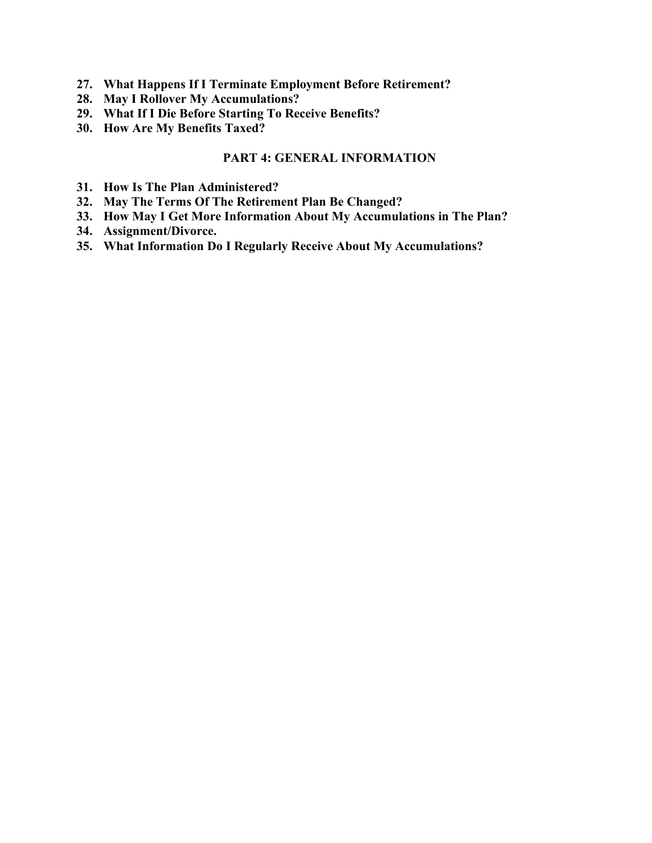- **27. What Happens If I Terminate Employment Before Retirement?**
- **28. May I Rollover My Accumulations?**
- **29. What If I Die Before Starting To Receive Benefits?**
- **30. How Are My Benefits Taxed?**

### **PART 4: GENERAL INFORMATION**

- **31. How Is The Plan Administered?**
- **32. May The Terms Of The Retirement Plan Be Changed?**
- **33. How May I Get More Information About My Accumulations in The Plan?**
- **34. Assignment/Divorce.**
- **35. What Information Do I Regularly Receive About My Accumulations?**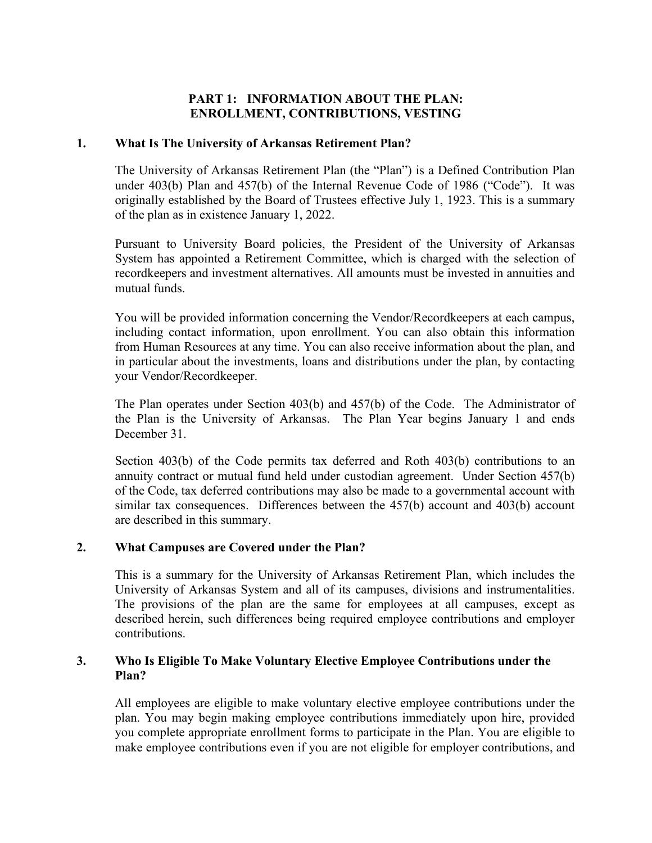## **PART 1: INFORMATION ABOUT THE PLAN: ENROLLMENT, CONTRIBUTIONS, VESTING**

### **1. What Is The University of Arkansas Retirement Plan?**

The University of Arkansas Retirement Plan (the "Plan") is a Defined Contribution Plan under 403(b) Plan and 457(b) of the Internal Revenue Code of 1986 ("Code"). It was originally established by the Board of Trustees effective July 1, 1923. This is a summary of the plan as in existence January 1, 2022.

Pursuant to University Board policies, the President of the University of Arkansas System has appointed a Retirement Committee, which is charged with the selection of recordkeepers and investment alternatives. All amounts must be invested in annuities and mutual funds.

You will be provided information concerning the Vendor/Recordkeepers at each campus, including contact information, upon enrollment. You can also obtain this information from Human Resources at any time. You can also receive information about the plan, and in particular about the investments, loans and distributions under the plan, by contacting your Vendor/Recordkeeper.

The Plan operates under Section 403(b) and 457(b) of the Code. The Administrator of the Plan is the University of Arkansas. The Plan Year begins January 1 and ends December 31.

Section 403(b) of the Code permits tax deferred and Roth 403(b) contributions to an annuity contract or mutual fund held under custodian agreement. Under Section 457(b) of the Code, tax deferred contributions may also be made to a governmental account with similar tax consequences. Differences between the 457(b) account and 403(b) account are described in this summary.

### **2. What Campuses are Covered under the Plan?**

This is a summary for the University of Arkansas Retirement Plan, which includes the University of Arkansas System and all of its campuses, divisions and instrumentalities. The provisions of the plan are the same for employees at all campuses, except as described herein, such differences being required employee contributions and employer contributions.

### **3. Who Is Eligible To Make Voluntary Elective Employee Contributions under the Plan?**

All employees are eligible to make voluntary elective employee contributions under the plan. You may begin making employee contributions immediately upon hire, provided you complete appropriate enrollment forms to participate in the Plan. You are eligible to make employee contributions even if you are not eligible for employer contributions, and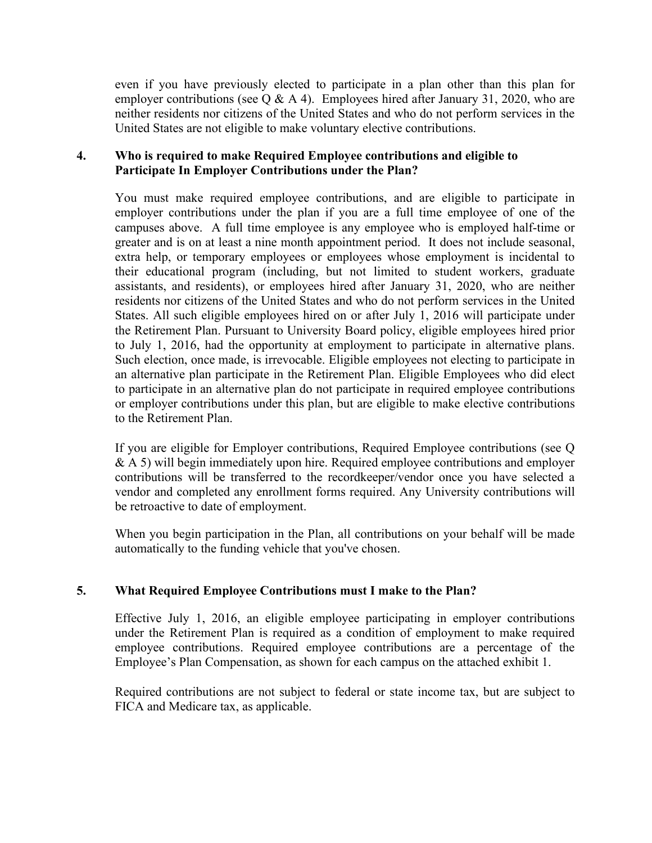even if you have previously elected to participate in a plan other than this plan for employer contributions (see Q & A 4). Employees hired after January 31, 2020, who are neither residents nor citizens of the United States and who do not perform services in the United States are not eligible to make voluntary elective contributions.

## **4. Who is required to make Required Employee contributions and eligible to Participate In Employer Contributions under the Plan?**

You must make required employee contributions, and are eligible to participate in employer contributions under the plan if you are a full time employee of one of the campuses above. A full time employee is any employee who is employed half-time or greater and is on at least a nine month appointment period. It does not include seasonal, extra help, or temporary employees or employees whose employment is incidental to their educational program (including, but not limited to student workers, graduate assistants, and residents), or employees hired after January 31, 2020, who are neither residents nor citizens of the United States and who do not perform services in the United States. All such eligible employees hired on or after July 1, 2016 will participate under the Retirement Plan. Pursuant to University Board policy, eligible employees hired prior to July 1, 2016, had the opportunity at employment to participate in alternative plans. Such election, once made, is irrevocable. Eligible employees not electing to participate in an alternative plan participate in the Retirement Plan. Eligible Employees who did elect to participate in an alternative plan do not participate in required employee contributions or employer contributions under this plan, but are eligible to make elective contributions to the Retirement Plan.

If you are eligible for Employer contributions, Required Employee contributions (see Q & A 5) will begin immediately upon hire. Required employee contributions and employer contributions will be transferred to the recordkeeper/vendor once you have selected a vendor and completed any enrollment forms required. Any University contributions will be retroactive to date of employment.

When you begin participation in the Plan, all contributions on your behalf will be made automatically to the funding vehicle that you've chosen.

## **5. What Required Employee Contributions must I make to the Plan?**

Effective July 1, 2016, an eligible employee participating in employer contributions under the Retirement Plan is required as a condition of employment to make required employee contributions. Required employee contributions are a percentage of the Employee's Plan Compensation, as shown for each campus on the attached exhibit 1.

Required contributions are not subject to federal or state income tax, but are subject to FICA and Medicare tax, as applicable.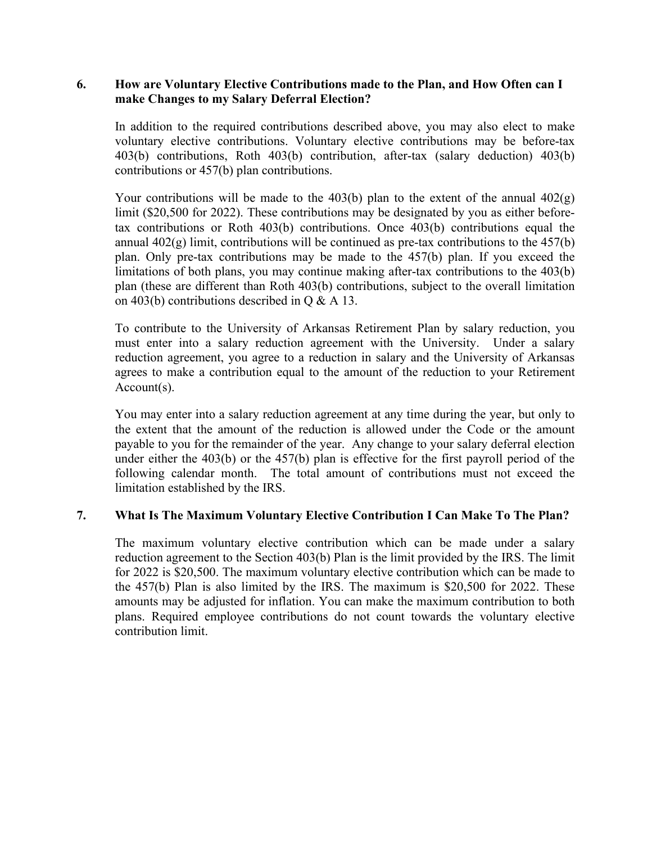### **6. How are Voluntary Elective Contributions made to the Plan, and How Often can I make Changes to my Salary Deferral Election?**

In addition to the required contributions described above, you may also elect to make voluntary elective contributions. Voluntary elective contributions may be before-tax 403(b) contributions, Roth 403(b) contribution, after-tax (salary deduction) 403(b) contributions or 457(b) plan contributions.

Your contributions will be made to the 403(b) plan to the extent of the annual  $402(g)$ limit (\$20,500 for 2022). These contributions may be designated by you as either beforetax contributions or Roth 403(b) contributions. Once 403(b) contributions equal the annual  $402(g)$  limit, contributions will be continued as pre-tax contributions to the  $457(b)$ plan. Only pre-tax contributions may be made to the 457(b) plan. If you exceed the limitations of both plans, you may continue making after-tax contributions to the 403(b) plan (these are different than Roth 403(b) contributions, subject to the overall limitation on 403(b) contributions described in Q & A 13.

To contribute to the University of Arkansas Retirement Plan by salary reduction, you must enter into a salary reduction agreement with the University. Under a salary reduction agreement, you agree to a reduction in salary and the University of Arkansas agrees to make a contribution equal to the amount of the reduction to your Retirement Account(s).

You may enter into a salary reduction agreement at any time during the year, but only to the extent that the amount of the reduction is allowed under the Code or the amount payable to you for the remainder of the year. Any change to your salary deferral election under either the 403(b) or the 457(b) plan is effective for the first payroll period of the following calendar month. The total amount of contributions must not exceed the limitation established by the IRS.

## **7. What Is The Maximum Voluntary Elective Contribution I Can Make To The Plan?**

The maximum voluntary elective contribution which can be made under a salary reduction agreement to the Section 403(b) Plan is the limit provided by the IRS. The limit for 2022 is \$20,500. The maximum voluntary elective contribution which can be made to the 457(b) Plan is also limited by the IRS. The maximum is \$20,500 for 2022. These amounts may be adjusted for inflation. You can make the maximum contribution to both plans. Required employee contributions do not count towards the voluntary elective contribution limit.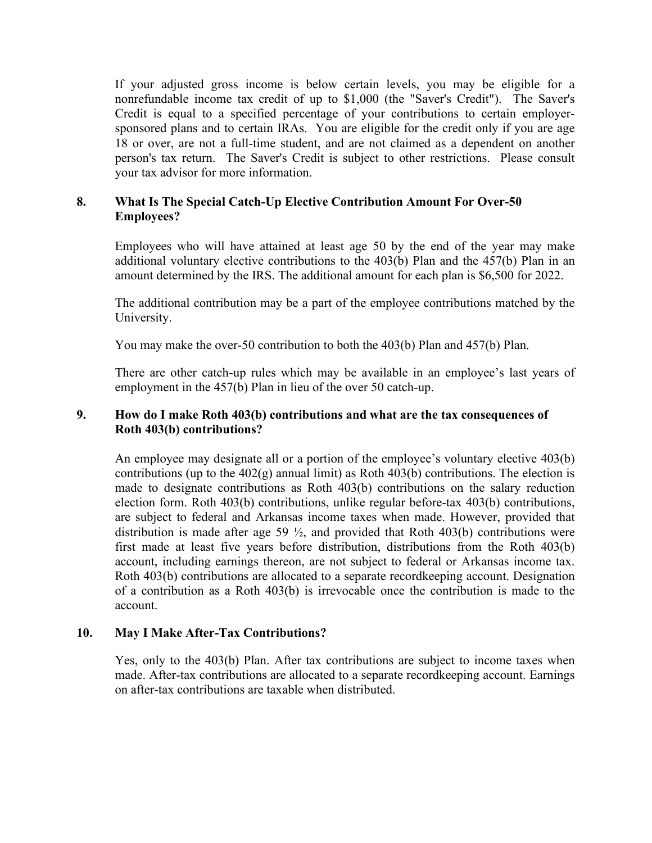If your adjusted gross income is below certain levels, you may be eligible for a nonrefundable income tax credit of up to \$1,000 (the "Saver's Credit"). The Saver's Credit is equal to a specified percentage of your contributions to certain employersponsored plans and to certain IRAs. You are eligible for the credit only if you are age 18 or over, are not a full-time student, and are not claimed as a dependent on another person's tax return. The Saver's Credit is subject to other restrictions. Please consult your tax advisor for more information.

### **8. What Is The Special Catch-Up Elective Contribution Amount For Over-50 Employees?**

Employees who will have attained at least age 50 by the end of the year may make additional voluntary elective contributions to the 403(b) Plan and the 457(b) Plan in an amount determined by the IRS. The additional amount for each plan is \$6,500 for 2022.

The additional contribution may be a part of the employee contributions matched by the University.

You may make the over-50 contribution to both the 403(b) Plan and 457(b) Plan.

There are other catch-up rules which may be available in an employee's last years of employment in the 457(b) Plan in lieu of the over 50 catch-up.

### **9. How do I make Roth 403(b) contributions and what are the tax consequences of Roth 403(b) contributions?**

An employee may designate all or a portion of the employee's voluntary elective 403(b) contributions (up to the  $402(g)$  annual limit) as Roth  $403(b)$  contributions. The election is made to designate contributions as Roth 403(b) contributions on the salary reduction election form. Roth 403(b) contributions, unlike regular before-tax 403(b) contributions, are subject to federal and Arkansas income taxes when made. However, provided that distribution is made after age 59  $\frac{1}{2}$ , and provided that Roth 403(b) contributions were first made at least five years before distribution, distributions from the Roth 403(b) account, including earnings thereon, are not subject to federal or Arkansas income tax. Roth 403(b) contributions are allocated to a separate recordkeeping account. Designation of a contribution as a Roth 403(b) is irrevocable once the contribution is made to the account.

### **10. May I Make After-Tax Contributions?**

Yes, only to the 403(b) Plan. After tax contributions are subject to income taxes when made. After-tax contributions are allocated to a separate recordkeeping account. Earnings on after-tax contributions are taxable when distributed.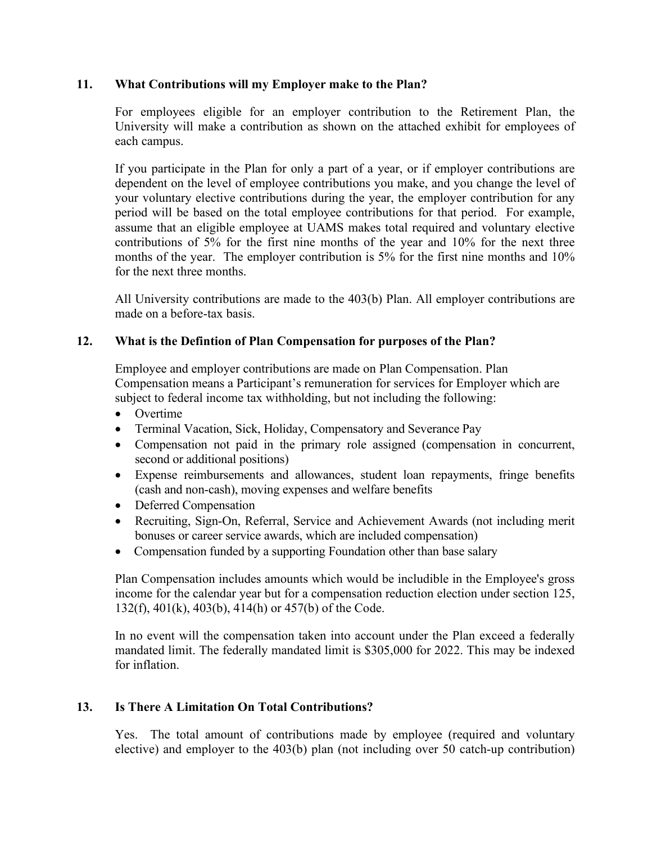### **11. What Contributions will my Employer make to the Plan?**

For employees eligible for an employer contribution to the Retirement Plan, the University will make a contribution as shown on the attached exhibit for employees of each campus.

If you participate in the Plan for only a part of a year, or if employer contributions are dependent on the level of employee contributions you make, and you change the level of your voluntary elective contributions during the year, the employer contribution for any period will be based on the total employee contributions for that period. For example, assume that an eligible employee at UAMS makes total required and voluntary elective contributions of 5% for the first nine months of the year and 10% for the next three months of the year. The employer contribution is 5% for the first nine months and 10% for the next three months.

All University contributions are made to the 403(b) Plan. All employer contributions are made on a before-tax basis.

### **12. What is the Defintion of Plan Compensation for purposes of the Plan?**

Employee and employer contributions are made on Plan Compensation. Plan Compensation means a Participant's remuneration for services for Employer which are subject to federal income tax withholding, but not including the following:

- Overtime
- Terminal Vacation, Sick, Holiday, Compensatory and Severance Pay
- Compensation not paid in the primary role assigned (compensation in concurrent, second or additional positions)
- Expense reimbursements and allowances, student loan repayments, fringe benefits (cash and non-cash), moving expenses and welfare benefits
- Deferred Compensation
- Recruiting, Sign-On, Referral, Service and Achievement Awards (not including merit bonuses or career service awards, which are included compensation)
- Compensation funded by a supporting Foundation other than base salary

Plan Compensation includes amounts which would be includible in the Employee's gross income for the calendar year but for a compensation reduction election under section 125, 132(f), 401(k), 403(b), 414(h) or 457(b) of the Code.

In no event will the compensation taken into account under the Plan exceed a federally mandated limit. The federally mandated limit is \$305,000 for 2022. This may be indexed for inflation.

### **13. Is There A Limitation On Total Contributions?**

Yes. The total amount of contributions made by employee (required and voluntary elective) and employer to the 403(b) plan (not including over 50 catch-up contribution)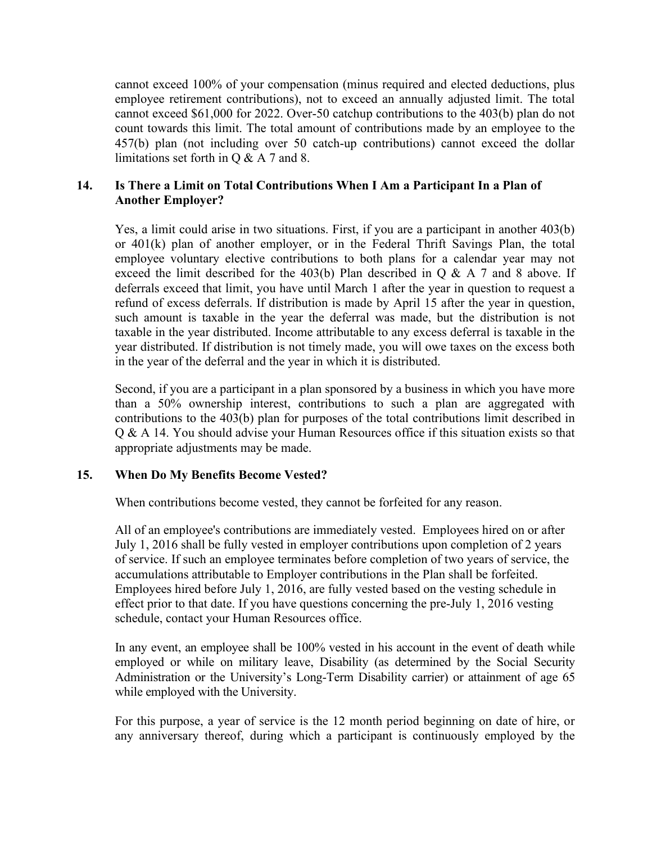cannot exceed 100% of your compensation (minus required and elected deductions, plus employee retirement contributions), not to exceed an annually adjusted limit. The total cannot exceed \$61,000 for 2022. Over-50 catchup contributions to the 403(b) plan do not count towards this limit. The total amount of contributions made by an employee to the 457(b) plan (not including over 50 catch-up contributions) cannot exceed the dollar limitations set forth in Q & A 7 and 8.

## **14. Is There a Limit on Total Contributions When I Am a Participant In a Plan of Another Employer?**

Yes, a limit could arise in two situations. First, if you are a participant in another 403(b) or 401(k) plan of another employer, or in the Federal Thrift Savings Plan, the total employee voluntary elective contributions to both plans for a calendar year may not exceed the limit described for the 403(b) Plan described in  $Q & A 7$  and 8 above. If deferrals exceed that limit, you have until March 1 after the year in question to request a refund of excess deferrals. If distribution is made by April 15 after the year in question, such amount is taxable in the year the deferral was made, but the distribution is not taxable in the year distributed. Income attributable to any excess deferral is taxable in the year distributed. If distribution is not timely made, you will owe taxes on the excess both in the year of the deferral and the year in which it is distributed.

Second, if you are a participant in a plan sponsored by a business in which you have more than a 50% ownership interest, contributions to such a plan are aggregated with contributions to the 403(b) plan for purposes of the total contributions limit described in Q & A 14. You should advise your Human Resources office if this situation exists so that appropriate adjustments may be made.

### **15. When Do My Benefits Become Vested?**

When contributions become vested, they cannot be forfeited for any reason.

All of an employee's contributions are immediately vested. Employees hired on or after July 1, 2016 shall be fully vested in employer contributions upon completion of 2 years of service. If such an employee terminates before completion of two years of service, the accumulations attributable to Employer contributions in the Plan shall be forfeited. Employees hired before July 1, 2016, are fully vested based on the vesting schedule in effect prior to that date. If you have questions concerning the pre-July 1, 2016 vesting schedule, contact your Human Resources office.

In any event, an employee shall be 100% vested in his account in the event of death while employed or while on military leave, Disability (as determined by the Social Security Administration or the University's Long-Term Disability carrier) or attainment of age 65 while employed with the University.

For this purpose, a year of service is the 12 month period beginning on date of hire, or any anniversary thereof, during which a participant is continuously employed by the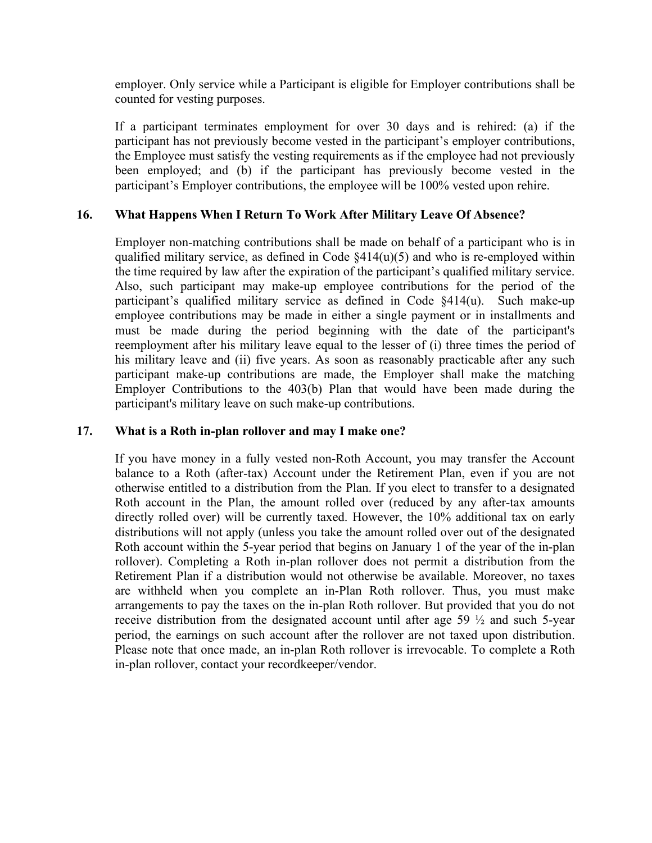employer. Only service while a Participant is eligible for Employer contributions shall be counted for vesting purposes.

If a participant terminates employment for over 30 days and is rehired: (a) if the participant has not previously become vested in the participant's employer contributions, the Employee must satisfy the vesting requirements as if the employee had not previously been employed; and (b) if the participant has previously become vested in the participant's Employer contributions, the employee will be 100% vested upon rehire.

### **16. What Happens When I Return To Work After Military Leave Of Absence?**

Employer non-matching contributions shall be made on behalf of a participant who is in qualified military service, as defined in Code §414(u)(5) and who is re-employed within the time required by law after the expiration of the participant's qualified military service. Also, such participant may make-up employee contributions for the period of the participant's qualified military service as defined in Code §414(u). Such make-up employee contributions may be made in either a single payment or in installments and must be made during the period beginning with the date of the participant's reemployment after his military leave equal to the lesser of (i) three times the period of his military leave and (ii) five years. As soon as reasonably practicable after any such participant make-up contributions are made, the Employer shall make the matching Employer Contributions to the 403(b) Plan that would have been made during the participant's military leave on such make-up contributions.

### **17. What is a Roth in-plan rollover and may I make one?**

If you have money in a fully vested non-Roth Account, you may transfer the Account balance to a Roth (after-tax) Account under the Retirement Plan, even if you are not otherwise entitled to a distribution from the Plan. If you elect to transfer to a designated Roth account in the Plan, the amount rolled over (reduced by any after-tax amounts directly rolled over) will be currently taxed. However, the 10% additional tax on early distributions will not apply (unless you take the amount rolled over out of the designated Roth account within the 5-year period that begins on January 1 of the year of the in-plan rollover). Completing a Roth in-plan rollover does not permit a distribution from the Retirement Plan if a distribution would not otherwise be available. Moreover, no taxes are withheld when you complete an in-Plan Roth rollover. Thus, you must make arrangements to pay the taxes on the in-plan Roth rollover. But provided that you do not receive distribution from the designated account until after age 59 ½ and such 5-year period, the earnings on such account after the rollover are not taxed upon distribution. Please note that once made, an in-plan Roth rollover is irrevocable. To complete a Roth in-plan rollover, contact your recordkeeper/vendor.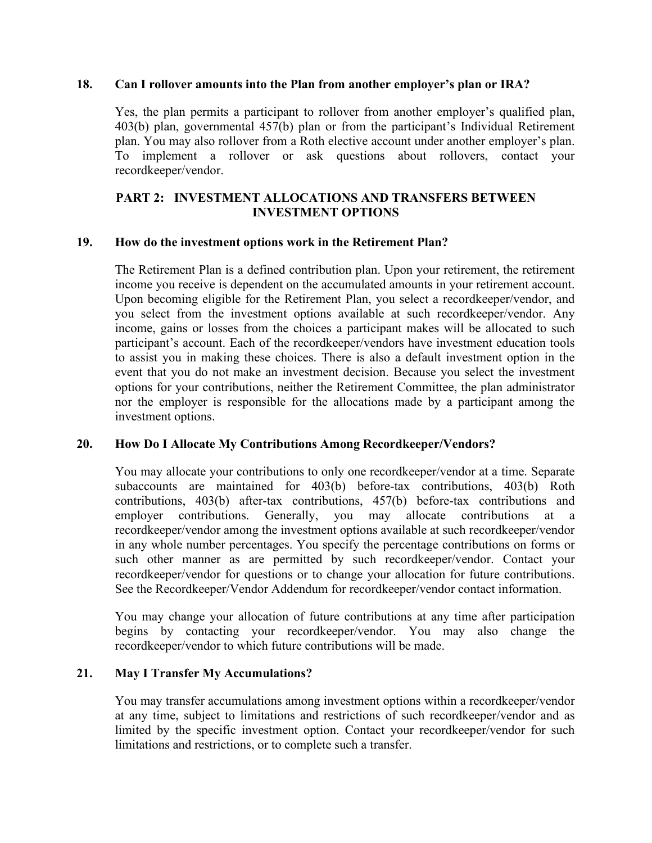#### **18. Can I rollover amounts into the Plan from another employer's plan or IRA?**

Yes, the plan permits a participant to rollover from another employer's qualified plan, 403(b) plan, governmental 457(b) plan or from the participant's Individual Retirement plan. You may also rollover from a Roth elective account under another employer's plan. To implement a rollover or ask questions about rollovers, contact your recordkeeper/vendor.

## **PART 2: INVESTMENT ALLOCATIONS AND TRANSFERS BETWEEN INVESTMENT OPTIONS**

### **19. How do the investment options work in the Retirement Plan?**

The Retirement Plan is a defined contribution plan. Upon your retirement, the retirement income you receive is dependent on the accumulated amounts in your retirement account. Upon becoming eligible for the Retirement Plan, you select a recordkeeper/vendor, and you select from the investment options available at such recordkeeper/vendor. Any income, gains or losses from the choices a participant makes will be allocated to such participant's account. Each of the recordkeeper/vendors have investment education tools to assist you in making these choices. There is also a default investment option in the event that you do not make an investment decision. Because you select the investment options for your contributions, neither the Retirement Committee, the plan administrator nor the employer is responsible for the allocations made by a participant among the investment options.

### **20. How Do I Allocate My Contributions Among Recordkeeper/Vendors?**

You may allocate your contributions to only one recordkeeper/vendor at a time. Separate subaccounts are maintained for 403(b) before-tax contributions, 403(b) Roth contributions, 403(b) after-tax contributions, 457(b) before-tax contributions and employer contributions. Generally, you may allocate contributions at a recordkeeper/vendor among the investment options available at such recordkeeper/vendor in any whole number percentages. You specify the percentage contributions on forms or such other manner as are permitted by such recordkeeper/vendor. Contact your recordkeeper/vendor for questions or to change your allocation for future contributions. See the Recordkeeper/Vendor Addendum for recordkeeper/vendor contact information.

You may change your allocation of future contributions at any time after participation begins by contacting your recordkeeper/vendor. You may also change the recordkeeper/vendor to which future contributions will be made.

### **21. May I Transfer My Accumulations?**

You may transfer accumulations among investment options within a recordkeeper/vendor at any time, subject to limitations and restrictions of such recordkeeper/vendor and as limited by the specific investment option. Contact your recordkeeper/vendor for such limitations and restrictions, or to complete such a transfer.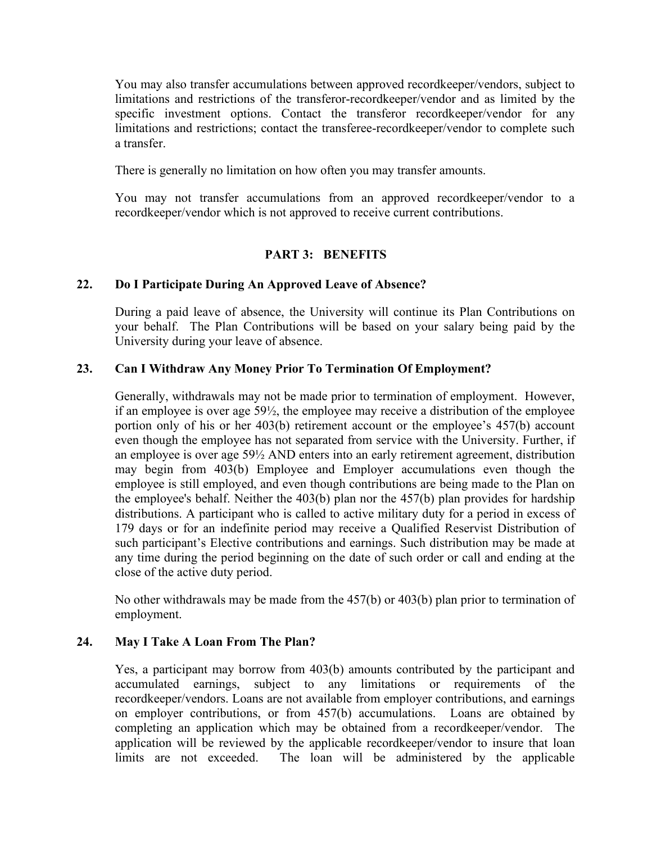You may also transfer accumulations between approved recordkeeper/vendors, subject to limitations and restrictions of the transferor-recordkeeper/vendor and as limited by the specific investment options. Contact the transferor recordkeeper/vendor for any limitations and restrictions; contact the transferee-recordkeeper/vendor to complete such a transfer.

There is generally no limitation on how often you may transfer amounts.

You may not transfer accumulations from an approved recordkeeper/vendor to a recordkeeper/vendor which is not approved to receive current contributions.

## **PART 3: BENEFITS**

## **22. Do I Participate During An Approved Leave of Absence?**

During a paid leave of absence, the University will continue its Plan Contributions on your behalf. The Plan Contributions will be based on your salary being paid by the University during your leave of absence.

## **23. Can I Withdraw Any Money Prior To Termination Of Employment?**

Generally, withdrawals may not be made prior to termination of employment. However, if an employee is over age 59½, the employee may receive a distribution of the employee portion only of his or her 403(b) retirement account or the employee's 457(b) account even though the employee has not separated from service with the University. Further, if an employee is over age 59½ AND enters into an early retirement agreement, distribution may begin from 403(b) Employee and Employer accumulations even though the employee is still employed, and even though contributions are being made to the Plan on the employee's behalf. Neither the 403(b) plan nor the 457(b) plan provides for hardship distributions. A participant who is called to active military duty for a period in excess of 179 days or for an indefinite period may receive a Qualified Reservist Distribution of such participant's Elective contributions and earnings. Such distribution may be made at any time during the period beginning on the date of such order or call and ending at the close of the active duty period.

No other withdrawals may be made from the 457(b) or 403(b) plan prior to termination of employment.

## **24. May I Take A Loan From The Plan?**

Yes, a participant may borrow from 403(b) amounts contributed by the participant and accumulated earnings, subject to any limitations or requirements of the recordkeeper/vendors. Loans are not available from employer contributions, and earnings on employer contributions, or from 457(b) accumulations. Loans are obtained by completing an application which may be obtained from a recordkeeper/vendor. The application will be reviewed by the applicable recordkeeper/vendor to insure that loan limits are not exceeded. The loan will be administered by the applicable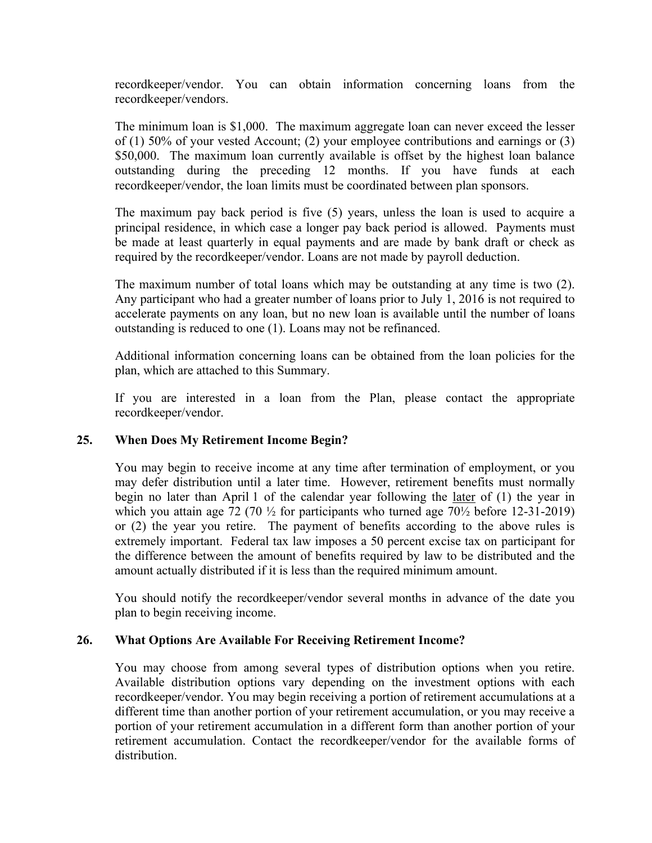recordkeeper/vendor. You can obtain information concerning loans from the recordkeeper/vendors.

The minimum loan is \$1,000. The maximum aggregate loan can never exceed the lesser of (1) 50% of your vested Account; (2) your employee contributions and earnings or (3) \$50,000. The maximum loan currently available is offset by the highest loan balance outstanding during the preceding 12 months. If you have funds at each recordkeeper/vendor, the loan limits must be coordinated between plan sponsors.

The maximum pay back period is five (5) years, unless the loan is used to acquire a principal residence, in which case a longer pay back period is allowed. Payments must be made at least quarterly in equal payments and are made by bank draft or check as required by the recordkeeper/vendor. Loans are not made by payroll deduction.

The maximum number of total loans which may be outstanding at any time is two (2). Any participant who had a greater number of loans prior to July 1, 2016 is not required to accelerate payments on any loan, but no new loan is available until the number of loans outstanding is reduced to one (1). Loans may not be refinanced.

Additional information concerning loans can be obtained from the loan policies for the plan, which are attached to this Summary.

If you are interested in a loan from the Plan, please contact the appropriate recordkeeper/vendor.

### **25. When Does My Retirement Income Begin?**

You may begin to receive income at any time after termination of employment, or you may defer distribution until a later time. However, retirement benefits must normally begin no later than April 1 of the calendar year following the later of (1) the year in which you attain age  $72$  (70  $\frac{1}{2}$  for participants who turned age  $70\frac{1}{2}$  before 12-31-2019) or (2) the year you retire. The payment of benefits according to the above rules is extremely important. Federal tax law imposes a 50 percent excise tax on participant for the difference between the amount of benefits required by law to be distributed and the amount actually distributed if it is less than the required minimum amount.

You should notify the recordkeeper/vendor several months in advance of the date you plan to begin receiving income.

### **26. What Options Are Available For Receiving Retirement Income?**

You may choose from among several types of distribution options when you retire. Available distribution options vary depending on the investment options with each recordkeeper/vendor. You may begin receiving a portion of retirement accumulations at a different time than another portion of your retirement accumulation, or you may receive a portion of your retirement accumulation in a different form than another portion of your retirement accumulation. Contact the recordkeeper/vendor for the available forms of distribution.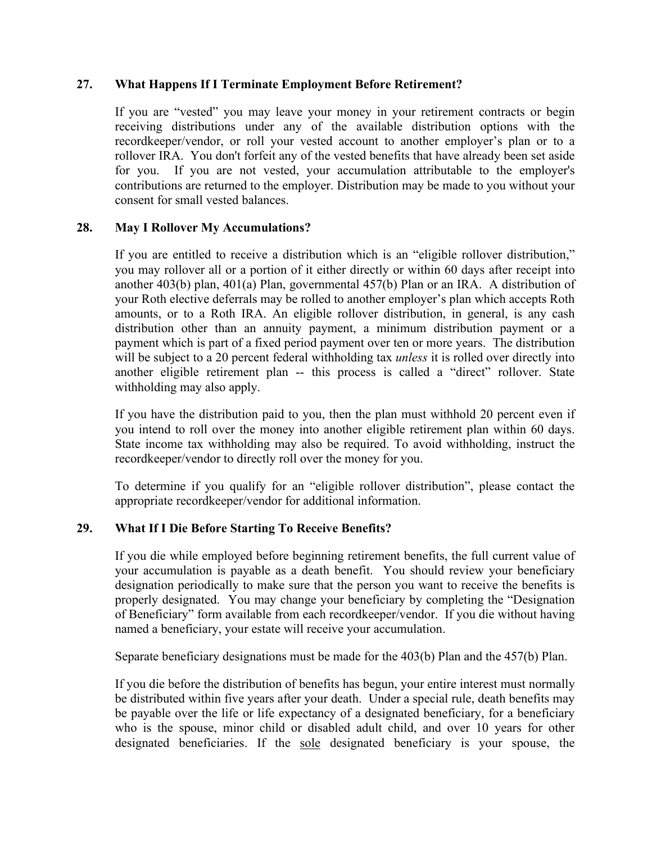### **27. What Happens If I Terminate Employment Before Retirement?**

If you are "vested" you may leave your money in your retirement contracts or begin receiving distributions under any of the available distribution options with the recordkeeper/vendor, or roll your vested account to another employer's plan or to a rollover IRA. You don't forfeit any of the vested benefits that have already been set aside for you. If you are not vested, your accumulation attributable to the employer's contributions are returned to the employer. Distribution may be made to you without your consent for small vested balances.

### **28. May I Rollover My Accumulations?**

If you are entitled to receive a distribution which is an "eligible rollover distribution," you may rollover all or a portion of it either directly or within 60 days after receipt into another 403(b) plan, 401(a) Plan, governmental 457(b) Plan or an IRA. A distribution of your Roth elective deferrals may be rolled to another employer's plan which accepts Roth amounts, or to a Roth IRA. An eligible rollover distribution, in general, is any cash distribution other than an annuity payment, a minimum distribution payment or a payment which is part of a fixed period payment over ten or more years. The distribution will be subject to a 20 percent federal withholding tax *unless* it is rolled over directly into another eligible retirement plan -- this process is called a "direct" rollover. State withholding may also apply.

If you have the distribution paid to you, then the plan must withhold 20 percent even if you intend to roll over the money into another eligible retirement plan within 60 days. State income tax withholding may also be required. To avoid withholding, instruct the recordkeeper/vendor to directly roll over the money for you.

To determine if you qualify for an "eligible rollover distribution", please contact the appropriate recordkeeper/vendor for additional information.

## **29. What If I Die Before Starting To Receive Benefits?**

If you die while employed before beginning retirement benefits, the full current value of your accumulation is payable as a death benefit. You should review your beneficiary designation periodically to make sure that the person you want to receive the benefits is properly designated. You may change your beneficiary by completing the "Designation of Beneficiary" form available from each recordkeeper/vendor. If you die without having named a beneficiary, your estate will receive your accumulation.

Separate beneficiary designations must be made for the 403(b) Plan and the 457(b) Plan.

If you die before the distribution of benefits has begun, your entire interest must normally be distributed within five years after your death. Under a special rule, death benefits may be payable over the life or life expectancy of a designated beneficiary, for a beneficiary who is the spouse, minor child or disabled adult child, and over 10 years for other designated beneficiaries. If the sole designated beneficiary is your spouse, the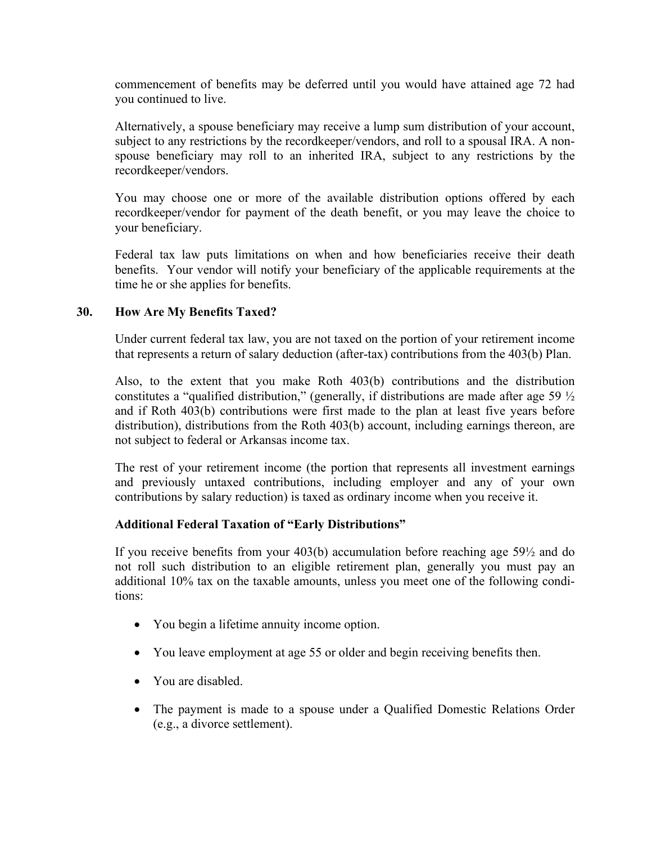commencement of benefits may be deferred until you would have attained age 72 had you continued to live.

Alternatively, a spouse beneficiary may receive a lump sum distribution of your account, subject to any restrictions by the recordkeeper/vendors, and roll to a spousal IRA. A nonspouse beneficiary may roll to an inherited IRA, subject to any restrictions by the recordkeeper/vendors.

You may choose one or more of the available distribution options offered by each recordkeeper/vendor for payment of the death benefit, or you may leave the choice to your beneficiary.

Federal tax law puts limitations on when and how beneficiaries receive their death benefits. Your vendor will notify your beneficiary of the applicable requirements at the time he or she applies for benefits.

### **30. How Are My Benefits Taxed?**

Under current federal tax law, you are not taxed on the portion of your retirement income that represents a return of salary deduction (after-tax) contributions from the 403(b) Plan.

Also, to the extent that you make Roth 403(b) contributions and the distribution constitutes a "qualified distribution," (generally, if distributions are made after age 59  $\frac{1}{2}$ ) and if Roth 403(b) contributions were first made to the plan at least five years before distribution), distributions from the Roth 403(b) account, including earnings thereon, are not subject to federal or Arkansas income tax.

The rest of your retirement income (the portion that represents all investment earnings and previously untaxed contributions, including employer and any of your own contributions by salary reduction) is taxed as ordinary income when you receive it.

### **Additional Federal Taxation of "Early Distributions"**

If you receive benefits from your 403(b) accumulation before reaching age 59½ and do not roll such distribution to an eligible retirement plan, generally you must pay an additional 10% tax on the taxable amounts, unless you meet one of the following conditions:

- You begin a lifetime annuity income option.
- You leave employment at age 55 or older and begin receiving benefits then.
- You are disabled.
- The payment is made to a spouse under a Qualified Domestic Relations Order (e.g., a divorce settlement).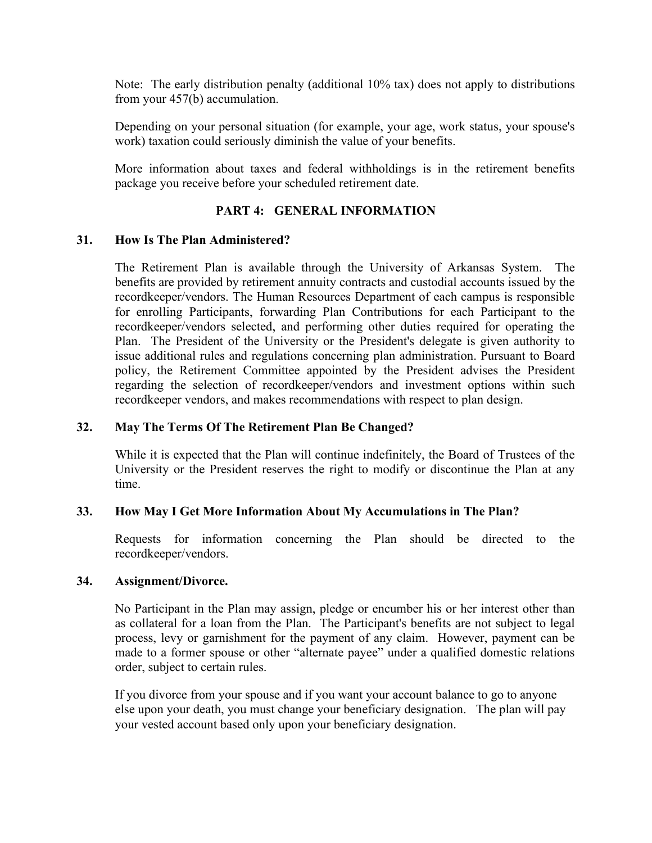Note: The early distribution penalty (additional 10% tax) does not apply to distributions from your 457(b) accumulation.

Depending on your personal situation (for example, your age, work status, your spouse's work) taxation could seriously diminish the value of your benefits.

More information about taxes and federal withholdings is in the retirement benefits package you receive before your scheduled retirement date.

### **PART 4: GENERAL INFORMATION**

### **31. How Is The Plan Administered?**

The Retirement Plan is available through the University of Arkansas System. The benefits are provided by retirement annuity contracts and custodial accounts issued by the recordkeeper/vendors. The Human Resources Department of each campus is responsible for enrolling Participants, forwarding Plan Contributions for each Participant to the recordkeeper/vendors selected, and performing other duties required for operating the Plan. The President of the University or the President's delegate is given authority to issue additional rules and regulations concerning plan administration. Pursuant to Board policy, the Retirement Committee appointed by the President advises the President regarding the selection of recordkeeper/vendors and investment options within such recordkeeper vendors, and makes recommendations with respect to plan design.

### **32. May The Terms Of The Retirement Plan Be Changed?**

While it is expected that the Plan will continue indefinitely, the Board of Trustees of the University or the President reserves the right to modify or discontinue the Plan at any time.

### **33. How May I Get More Information About My Accumulations in The Plan?**

Requests for information concerning the Plan should be directed to the recordkeeper/vendors.

### **34. Assignment/Divorce.**

No Participant in the Plan may assign, pledge or encumber his or her interest other than as collateral for a loan from the Plan. The Participant's benefits are not subject to legal process, levy or garnishment for the payment of any claim. However, payment can be made to a former spouse or other "alternate payee" under a qualified domestic relations order, subject to certain rules.

If you divorce from your spouse and if you want your account balance to go to anyone else upon your death, you must change your beneficiary designation. The plan will pay your vested account based only upon your beneficiary designation.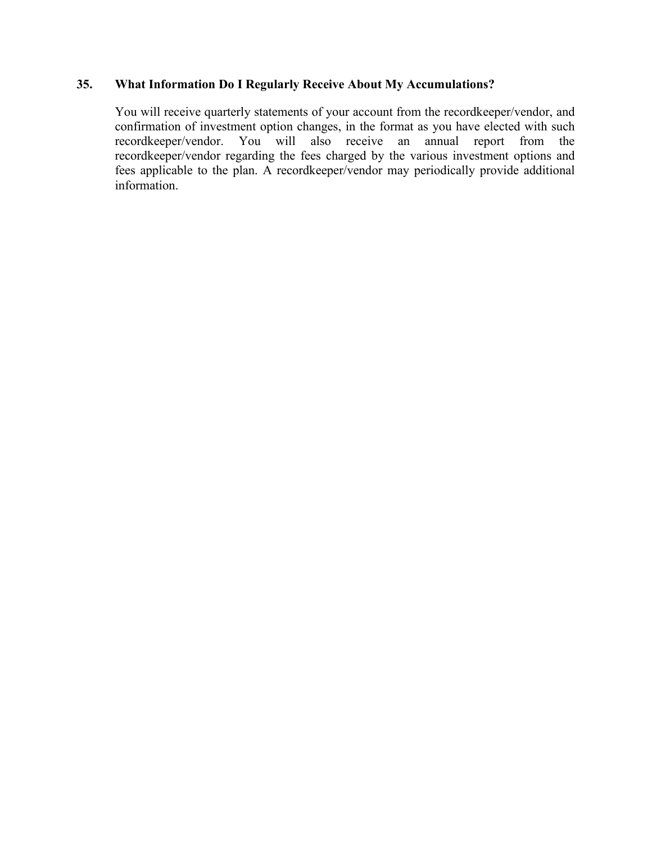### **35. What Information Do I Regularly Receive About My Accumulations?**

You will receive quarterly statements of your account from the recordkeeper/vendor, and confirmation of investment option changes, in the format as you have elected with such recordkeeper/vendor. You will also receive an annual report from the recordkeeper/vendor regarding the fees charged by the various investment options and fees applicable to the plan. A recordkeeper/vendor may periodically provide additional information.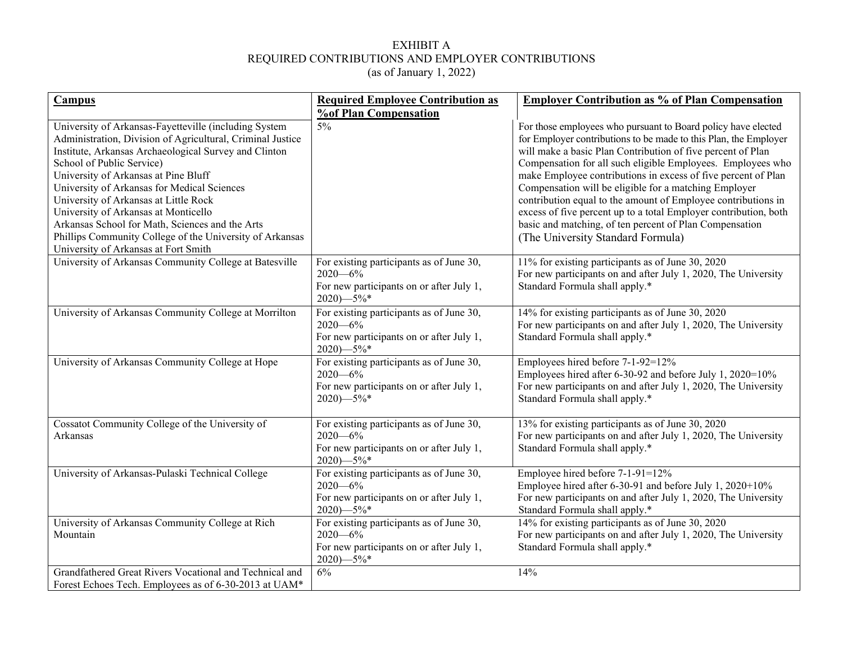#### EXHIBIT A REQUIRED CONTRIBUTIONS AND EMPLOYER CONTRIBUTIONS (as of January 1, 2022)

| <b>Campus</b>                                                                                                                                                                                                                                                                                                                                                                                                                                                                                                                            | <b>Required Employee Contribution as</b>                                                                                  | <b>Employer Contribution as % of Plan Compensation</b>                                                                                                                                                                                                                                                                                                                                                                                                                                                                                                                                                                         |
|------------------------------------------------------------------------------------------------------------------------------------------------------------------------------------------------------------------------------------------------------------------------------------------------------------------------------------------------------------------------------------------------------------------------------------------------------------------------------------------------------------------------------------------|---------------------------------------------------------------------------------------------------------------------------|--------------------------------------------------------------------------------------------------------------------------------------------------------------------------------------------------------------------------------------------------------------------------------------------------------------------------------------------------------------------------------------------------------------------------------------------------------------------------------------------------------------------------------------------------------------------------------------------------------------------------------|
| University of Arkansas-Fayetteville (including System<br>Administration, Division of Agricultural, Criminal Justice<br>Institute, Arkansas Archaeological Survey and Clinton<br>School of Public Service)<br>University of Arkansas at Pine Bluff<br>University of Arkansas for Medical Sciences<br>University of Arkansas at Little Rock<br>University of Arkansas at Monticello<br>Arkansas School for Math, Sciences and the Arts<br>Phillips Community College of the University of Arkansas<br>University of Arkansas at Fort Smith | <b>%of Plan Compensation</b><br>$5\%$                                                                                     | For those employees who pursuant to Board policy have elected<br>for Employer contributions to be made to this Plan, the Employer<br>will make a basic Plan Contribution of five percent of Plan<br>Compensation for all such eligible Employees. Employees who<br>make Employee contributions in excess of five percent of Plan<br>Compensation will be eligible for a matching Employer<br>contribution equal to the amount of Employee contributions in<br>excess of five percent up to a total Employer contribution, both<br>basic and matching, of ten percent of Plan Compensation<br>(The University Standard Formula) |
| University of Arkansas Community College at Batesville                                                                                                                                                                                                                                                                                                                                                                                                                                                                                   | For existing participants as of June 30,<br>$2020 - 6\%$<br>For new participants on or after July 1,<br>$2020$ )-5%*      | 11% for existing participants as of June 30, 2020<br>For new participants on and after July 1, 2020, The University<br>Standard Formula shall apply.*                                                                                                                                                                                                                                                                                                                                                                                                                                                                          |
| University of Arkansas Community College at Morrilton                                                                                                                                                                                                                                                                                                                                                                                                                                                                                    | For existing participants as of June 30,<br>$2020 - 6\%$<br>For new participants on or after July 1,<br>$2020$ )-5%*      | 14% for existing participants as of June 30, 2020<br>For new participants on and after July 1, 2020, The University<br>Standard Formula shall apply.*                                                                                                                                                                                                                                                                                                                                                                                                                                                                          |
| University of Arkansas Community College at Hope                                                                                                                                                                                                                                                                                                                                                                                                                                                                                         | For existing participants as of June 30,<br>$2020 - 6\%$<br>For new participants on or after July 1,<br>$2020$ )-5%*      | Employees hired before 7-1-92=12%<br>Employees hired after 6-30-92 and before July 1, 2020=10%<br>For new participants on and after July 1, 2020, The University<br>Standard Formula shall apply.*                                                                                                                                                                                                                                                                                                                                                                                                                             |
| Cossatot Community College of the University of<br>Arkansas                                                                                                                                                                                                                                                                                                                                                                                                                                                                              | For existing participants as of June 30,<br>$2020 - 6\%$<br>For new participants on or after July 1,<br>$2020$ ) $-5\%$ * | 13% for existing participants as of June 30, 2020<br>For new participants on and after July 1, 2020, The University<br>Standard Formula shall apply.*                                                                                                                                                                                                                                                                                                                                                                                                                                                                          |
| University of Arkansas-Pulaski Technical College                                                                                                                                                                                                                                                                                                                                                                                                                                                                                         | For existing participants as of June 30,<br>$2020 - 6\%$<br>For new participants on or after July 1,<br>$2020$ ) $-5\%$ * | Employee hired before 7-1-91=12%<br>Employee hired after 6-30-91 and before July 1, 2020+10%<br>For new participants on and after July 1, 2020, The University<br>Standard Formula shall apply.*                                                                                                                                                                                                                                                                                                                                                                                                                               |
| University of Arkansas Community College at Rich<br>Mountain                                                                                                                                                                                                                                                                                                                                                                                                                                                                             | For existing participants as of June 30,<br>$2020 - 6\%$<br>For new participants on or after July 1,<br>$2020$ )-5%*      | 14% for existing participants as of June 30, 2020<br>For new participants on and after July 1, 2020, The University<br>Standard Formula shall apply.*                                                                                                                                                                                                                                                                                                                                                                                                                                                                          |
| Grandfathered Great Rivers Vocational and Technical and<br>Forest Echoes Tech. Employees as of 6-30-2013 at UAM*                                                                                                                                                                                                                                                                                                                                                                                                                         | 6%                                                                                                                        | 14%                                                                                                                                                                                                                                                                                                                                                                                                                                                                                                                                                                                                                            |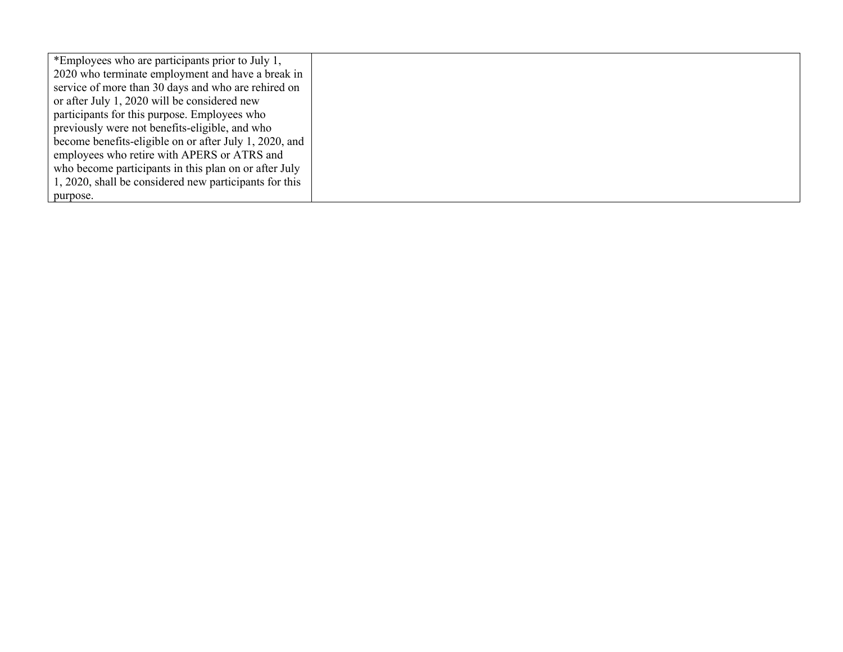| *Employees who are participants prior to July 1,       |  |
|--------------------------------------------------------|--|
| 2020 who terminate employment and have a break in      |  |
| service of more than 30 days and who are rehired on    |  |
| or after July 1, 2020 will be considered new           |  |
| participants for this purpose. Employees who           |  |
| previously were not benefits-eligible, and who         |  |
| become benefits-eligible on or after July 1, 2020, and |  |
| employees who retire with APERS or ATRS and            |  |
| who become participants in this plan on or after July  |  |
| 1, 2020, shall be considered new participants for this |  |
| purpose.                                               |  |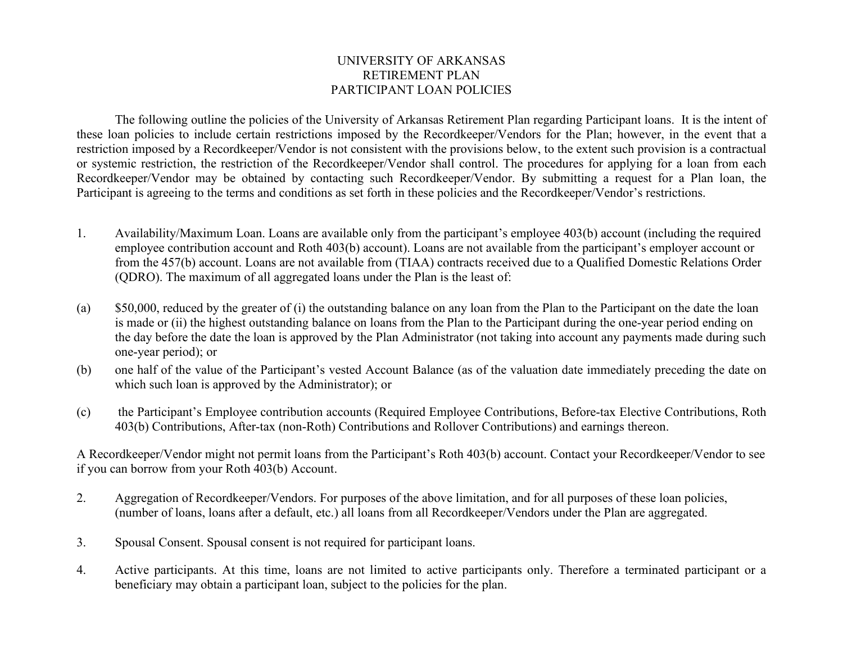## UNIVERSITY OF ARKANSAS RETIREMENT PLAN PARTICIPANT LOAN POLICIES

The following outline the policies of the University of Arkansas Retirement Plan regarding Participant loans. It is the intent of these loan policies to include certain restrictions imposed by the Recordkeeper/Vendors for the Plan; however, in the event that a restriction imposed by a Recordkeeper/Vendor is not consistent with the provisions below, to the extent such provision is a contractual or systemic restriction, the restriction of the Recordkeeper/Vendor shall control. The procedures for applying for a loan from each Recordkeeper/Vendor may be obtained by contacting such Recordkeeper/Vendor. By submitting a request for a Plan loan, the Participant is agreeing to the terms and conditions as set forth in these policies and the Recordkeeper/Vendor's restrictions.

- 1. Availability/Maximum Loan. Loans are available only from the participant's employee 403(b) account (including the required employee contribution account and Roth 403(b) account). Loans are not available from the participant's employer account or from the 457(b) account. Loans are not available from (TIAA) contracts received due to a Qualified Domestic Relations Order (QDRO). The maximum of all aggregated loans under the Plan is the least of:
- (a) \$50,000, reduced by the greater of (i) the outstanding balance on any loan from the Plan to the Participant on the date the loan is made or (ii) the highest outstanding balance on loans from the Plan to the Participant during the one-year period ending on the day before the date the loan is approved by the Plan Administrator (not taking into account any payments made during such one-year period); or
- (b) one half of the value of the Participant's vested Account Balance (as of the valuation date immediately preceding the date on which such loan is approved by the Administrator); or
- (c) the Participant's Employee contribution accounts (Required Employee Contributions, Before-tax Elective Contributions, Roth 403(b) Contributions, After-tax (non-Roth) Contributions and Rollover Contributions) and earnings thereon.

A Recordkeeper/Vendor might not permit loans from the Participant's Roth 403(b) account. Contact your Recordkeeper/Vendor to see if you can borrow from your Roth 403(b) Account.

- 2. Aggregation of Recordkeeper/Vendors. For purposes of the above limitation, and for all purposes of these loan policies, (number of loans, loans after a default, etc.) all loans from all Recordkeeper/Vendors under the Plan are aggregated.
- 3. Spousal Consent. Spousal consent is not required for participant loans.
- 4. Active participants. At this time, loans are not limited to active participants only. Therefore a terminated participant or a beneficiary may obtain a participant loan, subject to the policies for the plan.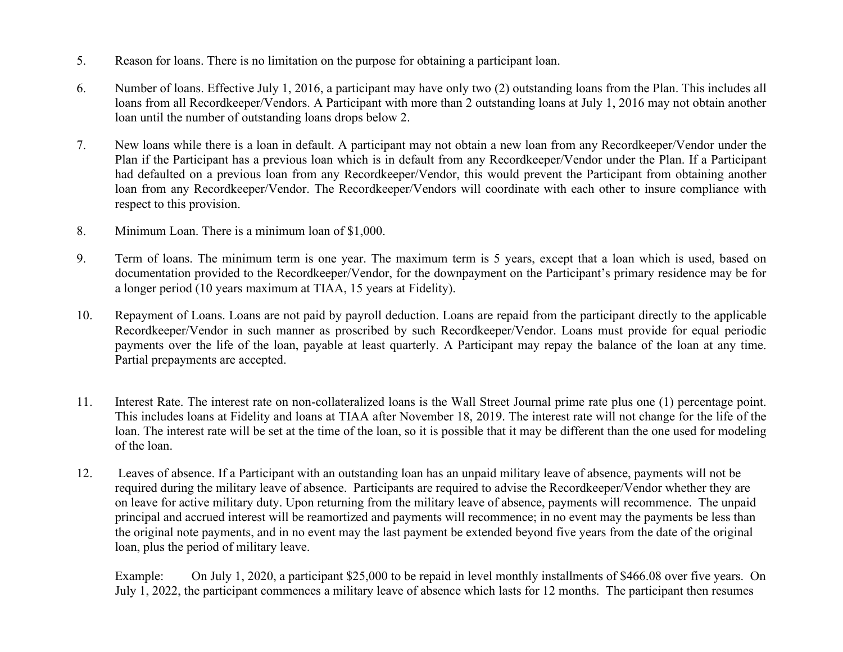- 5. Reason for loans. There is no limitation on the purpose for obtaining a participant loan.
- 6. Number of loans. Effective July 1, 2016, a participant may have only two (2) outstanding loans from the Plan. This includes all loans from all Recordkeeper/Vendors. A Participant with more than 2 outstanding loans at July 1, 2016 may not obtain another loan until the number of outstanding loans drops below 2.
- 7. New loans while there is a loan in default. A participant may not obtain a new loan from any Recordkeeper/Vendor under the Plan if the Participant has a previous loan which is in default from any Recordkeeper/Vendor under the Plan. If a Participant had defaulted on a previous loan from any Recordkeeper/Vendor, this would prevent the Participant from obtaining another loan from any Recordkeeper/Vendor. The Recordkeeper/Vendors will coordinate with each other to insure compliance with respect to this provision.
- 8. Minimum Loan. There is a minimum loan of \$1,000.
- 9. Term of loans. The minimum term is one year. The maximum term is 5 years, except that a loan which is used, based on documentation provided to the Recordkeeper/Vendor, for the downpayment on the Participant's primary residence may be for a longer period (10 years maximum at TIAA, 15 years at Fidelity).
- 10. Repayment of Loans. Loans are not paid by payroll deduction. Loans are repaid from the participant directly to the applicable Recordkeeper/Vendor in such manner as proscribed by such Recordkeeper/Vendor. Loans must provide for equal periodic payments over the life of the loan, payable at least quarterly. A Participant may repay the balance of the loan at any time. Partial prepayments are accepted.
- 11. Interest Rate. The interest rate on non-collateralized loans is the Wall Street Journal prime rate plus one (1) percentage point. This includes loans at Fidelity and loans at TIAA after November 18, 2019. The interest rate will not change for the life of the loan. The interest rate will be set at the time of the loan, so it is possible that it may be different than the one used for modeling of the loan.
- 12. Leaves of absence. If a Participant with an outstanding loan has an unpaid military leave of absence, payments will not be required during the military leave of absence. Participants are required to advise the Recordkeeper/Vendor whether they are on leave for active military duty. Upon returning from the military leave of absence, payments will recommence. The unpaid principal and accrued interest will be reamortized and payments will recommence; in no event may the payments be less than the original note payments, and in no event may the last payment be extended beyond five years from the date of the original loan, plus the period of military leave.

Example: On July 1, 2020, a participant \$25,000 to be repaid in level monthly installments of \$466.08 over five years. On July 1, 2022, the participant commences a military leave of absence which lasts for 12 months. The participant then resumes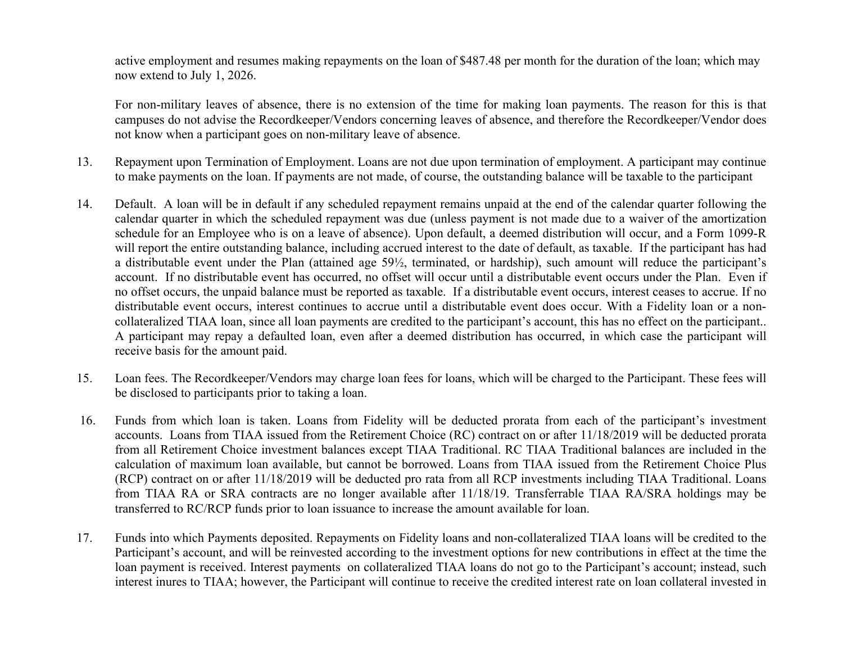active employment and resumes making repayments on the loan of \$487.48 per month for the duration of the loan; which may now extend to July 1, 2026.

For non-military leaves of absence, there is no extension of the time for making loan payments. The reason for this is that campuses do not advise the Recordkeeper/Vendors concerning leaves of absence, and therefore the Recordkeeper/Vendor does not know when a participant goes on non-military leave of absence.

- 13. Repayment upon Termination of Employment. Loans are not due upon termination of employment. A participant may continue to make payments on the loan. If payments are not made, of course, the outstanding balance will be taxable to the participant
- 14. Default. A loan will be in default if any scheduled repayment remains unpaid at the end of the calendar quarter following the calendar quarter in which the scheduled repayment was due (unless payment is not made due to a waiver of the amortization schedule for an Employee who is on a leave of absence). Upon default, a deemed distribution will occur, and a Form 1099-R will report the entire outstanding balance, including accrued interest to the date of default, as taxable. If the participant has had a distributable event under the Plan (attained age 59½, terminated, or hardship), such amount will reduce the participant's account. If no distributable event has occurred, no offset will occur until a distributable event occurs under the Plan. Even if no offset occurs, the unpaid balance must be reported as taxable. If a distributable event occurs, interest ceases to accrue. If no distributable event occurs, interest continues to accrue until a distributable event does occur. With a Fidelity loan or a noncollateralized TIAA loan, since all loan payments are credited to the participant's account, this has no effect on the participant.. A participant may repay a defaulted loan, even after a deemed distribution has occurred, in which case the participant will receive basis for the amount paid.
- 15. Loan fees. The Recordkeeper/Vendors may charge loan fees for loans, which will be charged to the Participant. These fees will be disclosed to participants prior to taking a loan.
- 16. Funds from which loan is taken. Loans from Fidelity will be deducted prorata from each of the participant's investment accounts. Loans from TIAA issued from the Retirement Choice (RC) contract on or after 11/18/2019 will be deducted prorata from all Retirement Choice investment balances except TIAA Traditional. RC TIAA Traditional balances are included in the calculation of maximum loan available, but cannot be borrowed. Loans from TIAA issued from the Retirement Choice Plus (RCP) contract on or after 11/18/2019 will be deducted pro rata from all RCP investments including TIAA Traditional. Loans from TIAA RA or SRA contracts are no longer available after 11/18/19. Transferrable TIAA RA/SRA holdings may be transferred to RC/RCP funds prior to loan issuance to increase the amount available for loan.
- 17. Funds into which Payments deposited. Repayments on Fidelity loans and non-collateralized TIAA loans will be credited to the Participant's account, and will be reinvested according to the investment options for new contributions in effect at the time the loan payment is received. Interest payments on collateralized TIAA loans do not go to the Participant's account; instead, such interest inures to TIAA; however, the Participant will continue to receive the credited interest rate on loan collateral invested in